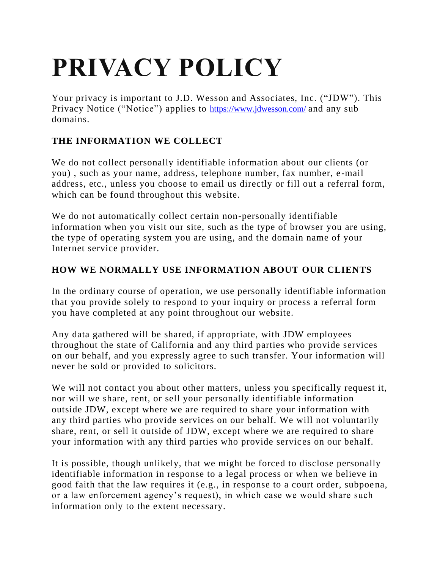# **PRIVACY POLICY**

Your privacy is important to J.D. Wesson and Associates, Inc. ("JDW"). This Privacy Notice ("Notice") applies to <https://www.jdwesson.com/> and any sub domains.

# **THE INFORMATION WE COLLECT**

We do not collect personally identifiable information about our clients (or you) , such as your name, address, telephone number, fax number, e -mail address, etc., unless you choose to email us directly or fill out a referral form, which can be found throughout this website.

We do not automatically collect certain non-personally identifiable information when you visit our site, such as the type of browser you are using, the type of operating system you are using, and the domain name of your Internet service provider.

## **HOW WE NORMALLY USE INFORMATION ABOUT OUR CLIENTS**

In the ordinary course of operation, we use personally identifiable information that you provide solely to respond to your inquiry or process a referral form you have completed at any point throughout our website.

Any data gathered will be shared, if appropriate, with JDW employees throughout the state of California and any third parties who provide services on our behalf, and you expressly agree to such transfer. Your information will never be sold or provided to solicitors.

We will not contact you about other matters, unless you specifically request it, nor will we share, rent, or sell your personally identifiable information outside JDW, except where we are required to share your information with any third parties who provide services on our behalf. We will not voluntarily share, rent, or sell it outside of JDW, except where we are required to share your information with any third parties who provide services on our behalf.

It is possible, though unlikely, that we might be forced to disclose personally identifiable information in response to a legal process or when we believe in good faith that the law requires it (e.g., in response to a court order, subpoe na, or a law enforcement agency's request), in which case we would share such information only to the extent necessary.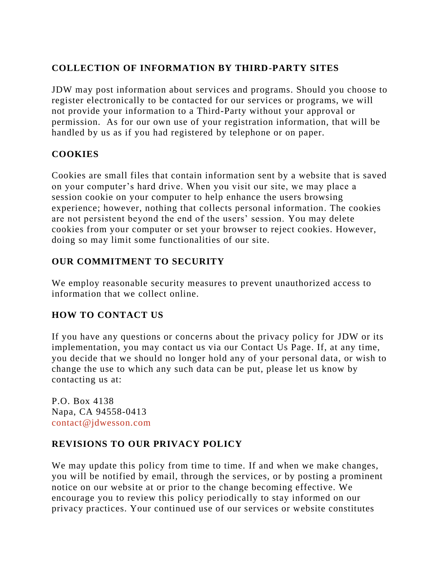### **COLLECTION OF INFORMATION BY THIRD-PARTY SITES**

JDW may post information about services and programs. Should you choose to register electronically to be contacted for our services or programs, we will not provide your information to a Third-Party without your approval or permission. As for our own use of your registration information, that will be handled by us as if you had registered by telephone or on paper.

#### **COOKIES**

Cookies are small files that contain information sent by a website that is saved on your computer's hard drive. When you visit our site, we may place a session cookie on your computer to help enhance the users browsing experience; however, nothing that collects personal information. The cookies are not persistent beyond the end of the users' session. You may delete cookies from your computer or set your browser to reject cookies. However, doing so may limit some functionalities of our site.

#### **OUR COMMITMENT TO SECURITY**

We employ reasonable security measures to prevent unauthorized access to information that we collect online.

#### **HOW TO CONTACT US**

If you have any questions or concerns about the privacy policy for JDW or its implementation, you may contact us via our Contact Us Page. If, at any time, you decide that we should no longer hold any of your personal data, or wish to change the use to which any such data can be put, please let us know by contacting us at:

P.O. Box 4138 Napa, CA 94558-0413 [contact@jdwesson.com](mailto:info@hannabrophy.com)

#### **REVISIONS TO OUR PRIVACY POLICY**

We may update this policy from time to time. If and when we make changes, you will be notified by email, through the services, or by posting a prominent notice on our website at or prior to the change becoming effective. We encourage you to review this policy periodically to stay informed on our privacy practices. Your continued use of our services or website constitutes